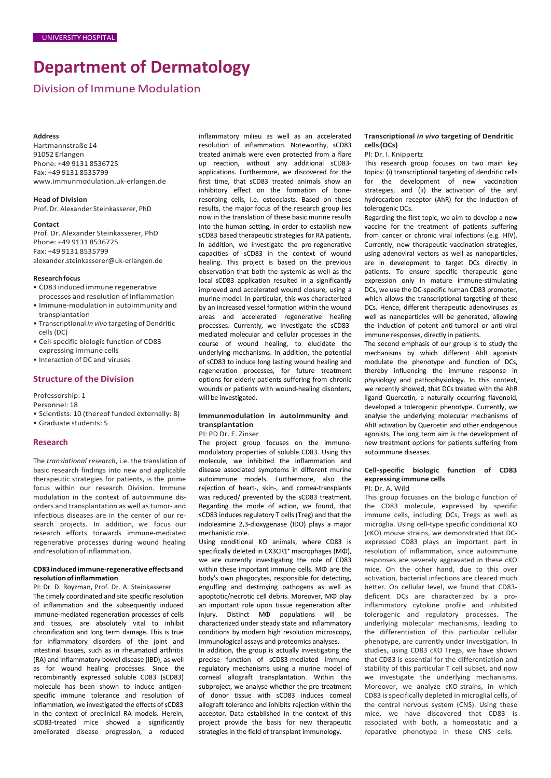# **Department of Dermatology**

Division of Immune Modulation

#### **Address**

Hartmannstraße 14 91052 Erlangen Phone: +49 9131 8536725 Fax: +49 9131 8535799 [www.immunmodulation.uk-erlangen.de](http://www.immunmodulation.uk-erlangen.de/)

**Head of Division** Prof. Dr. Alexander Steinkasserer, PhD

#### **Contact**

Prof. Dr. Alexander Steinkasserer, PhD Phone: +49 9131 8536725 Fax: +49 9131 8535799 [alexander.steinkasserer@uk-erlangen.de](mailto:alexander.steinkasserer@uk-erlangen.de)

#### **Researchfocus**

- CD83 induced immune regenerative processes and resolution of inflammation
- Immune-modulation in autoimmunity and transplantation
- Transcriptional *in vivo* targeting of Dendritic cells (DC)
- Cell-specific biologic function of CD83 expressing immune cells
- Interaction of DC and viruses

# **Structure of the Division**

Professorship: 1

Personnel: 18

- Scientists: 10 (thereof funded externally: 8)
- Graduate students: 5

# **Research**

The *translational research*, i.e. the translation of basic research findings into new and applicable therapeutic strategies for patients, is the prime focus within our research Division. Immune modulation in the context of autoimmune disorders and transplantation as well as tumor- and infectious diseases are in the center of our research projects. In addition, we focus our research efforts torwards immune-mediated regenerative processes during wound healing and resolution of inflammation.

#### **CD83inducedimmune-regenerativeeffects and resolution ofinflammation**

PI: Dr. D. Royzman, Prof. Dr. A. Steinkasserer The timely coordinated and site specific resolution of inflammation and the subsequently induced immune-mediated regeneration processes of cells and tissues, are absolutely vital to inhibit chronification and long term damage. This is true for inflammatory disorders of the joint and intestinal tissues, such as in rheumatoid arthritis (RA) and inflammatory bowel disease (IBD), as well as for wound healing processes. Since the recombinantly expressed soluble CD83 (sCD83) molecule has been shown to induce antigenspecific immune tolerance and resolution of inflammation, we investigated the effects of sCD83 in the context of preclinical RA models. Herein, sCD83-treated mice showed a significantly ameliorated disease progression, a reduced

inflammatory milieu as well as an accelerated resolution of inflammation. Noteworthy, sCD83 treated animals were even protected from a flare up reaction, without any additional sCD83 applications. Furthermore, we discovered for the first time, that sCD83 treated animals show an inhibitory effect on the formation of boneresorbing cells, i.e. osteoclasts. Based on these results, the major focus of the research group lies now in the translation of these basic murine results into the human setting, in order to establish new sCD83 based therapeutic strategies for RA patients. In addition, we investigate the pro-regenerative capacities of sCD83 in the context of wound healing. This project is based on the previous observation that both the systemic as well as the local sCD83 application resulted in a significantly improved and accelerated wound closure, using a murine model. In particular, this was characterized by an increased vessel formation within the wound areas and accelerated regenerative healing processes. Currently, we investigate the sCD83 mediated molecular and cellular processes in the course of wound healing, to elucidate the underlying mechanisms. In addition, the potential of sCD83 to induce long lasting wound healing and regeneration processes, for future treatment options for elderly patients suffering from chronic wounds or patients with wound-healing disorders, will be investigated.

# **Immunmodulation in autoimmunity and transplantation**

PI: PD Dr. E. Zinser

The project group focuses on the immunomodulatory properties of soluble CD83. Using this molecule, we inhibited the inflammation and disease associated symptoms in different murine autoimmune models. Furthermore, also the rejection of heart-, skin-, and cornea-transplants was reduced/ prevented by the sCD83 treatment. Regarding the mode of action, we found, that sCD83 induces regulatory T cells (Treg) and that the indoleamine 2,3-dioxygenase (IDO) plays a major mechanistic role.

Using conditional KO animals, where CD83 is specifically deleted in CX3CR1<sup>+</sup> macrophages (MΦ), we are currently investigating the role of CD83 within these important immune cells. ΜΦ are the body's own phagocytes, responsible for detecting, engulfing and destroying pathogens as well as apoptotic/necrotic cell debris. Moreover, ΜΦ play an important role upon tissue regeneration after injury. Distinct ΜΦ populations will be characterized under steady state and inflammatory conditions by modern high resolution microscopy, immunological assays and proteomics analyses.

In addition, the group is actually investigating the precise function of sCD83-mediated immuneregulatory mechanisms using a murine model of corneal allograft transplantation. Within this subproject, we analyse whether the pre-treatment of donor tissue with sCD83 induces corneal allograft tolerance and inhibits rejection within the acceptor. Data established in the context of this project provide the basis for new therapeutic strategies in the field of transplant immunology.

#### **Transcriptional** *in vivo* **targeting of Dendritic cells(DCs)**

PI: Dr. I. Knippertz

This research group focuses on two main key topics: (i) transcriptional targeting of dendritic cells for the development of new vaccination strategies, and (ii) the activation of the aryl hydrocarbon receptor (AhR) for the induction of tolerogenic DCs.

Regarding the first topic, we aim to develop a new vaccine for the treatment of patients suffering from cancer or chronic viral infections (e.g. HIV). Currently, new therapeutic vaccination strategies, using adenoviral vectors as well as nanoparticles, are in development to target DCs directly in patients. To ensure specific therapeutic gene expression only in mature immune-stimulating DCs, we use the DC-specific human CD83 promoter, which allows the transcriptional targeting of these DCs. Hence, different therapeutic adenoviruses as well as nanoparticles will be generated, allowing the induction of potent anti-tumoral or anti-viral immune responses, directly in patients.

The second emphasis of our group is to study the mechanisms by which different AhR agonists modulate the phenotype and function of DCs, thereby influencing the immune response in physiology and pathophysiology. In this context, we recently showed, that DCs treated with the AhR ligand Quercetin, a naturally occurring flavonoid, developed a tolerogenic phenotype. Currently, we analyse the underlying molecular mechanisms of AhR activation by Quercetin and other endogenous agonists. The long term aim is the development of new treatment options for patients suffering from autoimmune diseases.

# **Cell-specific biologic function of CD83 expressing immune cells**

PI: Dr. A. Wild

This group focusses on the biologic function of the CD83 molecule, expressed by specific immune cells, including DCs, Tregs as well as microglia. Using cell-type specific conditional KO (cKO) mouse strains, we demonstrated that DCexpressed CD83 plays an important part in resolution of inflammation, since autoimmune responses are severely aggravated in these cKO mice. On the other hand, due to this over activation, bacterial infections are cleared much better. On cellular level, we found that CD83 deficent DCs are characterized by a proinflammatory cytokine profile and inhibited tolerogenic and regulatory processes. The underlying molecular mechanisms, leading to the differentiation of this particular cellular phenotype, are currently under investigation. In studies, using CD83 cKO Tregs, we have shown that CD83 is essential for the differentiation and stability of this particular T cell subset, and now we investigate the underlying mechanisms. Moreover, we analyze cKO-strains, in which CD83 isspecifically depleted in microglial cells, of the central nervous system (CNS). Using these mice, we have discovered that CD83 is associated with both, a homeostatic and a reparative phenotype in these CNS cells.